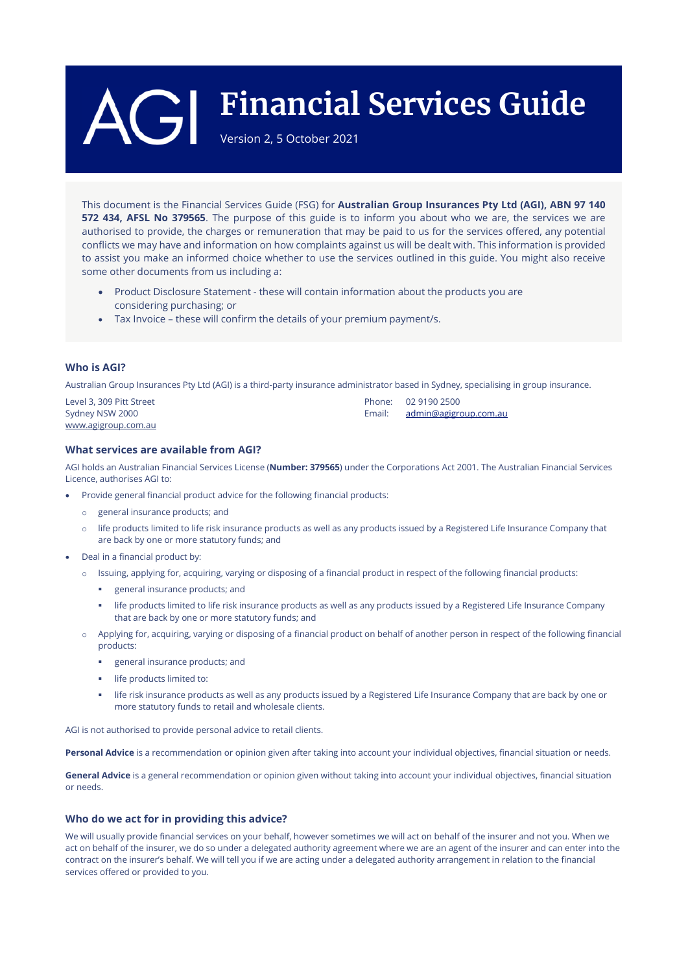# **Financial Services Guide**

Version 2, 5 October 2021

This document is the Financial Services Guide (FSG) for **Australian Group Insurances Pty Ltd (AGI), ABN 97 140 572 434, AFSL No 379565**. The purpose of this guide is to inform you about who we are, the services we are authorised to provide, the charges or remuneration that may be paid to us for the services offered, any potential conflicts we may have and information on how complaints against us will be dealt with. This information is provided to assist you make an informed choice whether to use the services outlined in this guide. You might also receive some other documents from us including a:

- Product Disclosure Statement these will contain information about the products you are considering purchasing; or
- Tax Invoice these will confirm the details of your premium payment/s.

# **Who is AGI?**

Australian Group Insurances Pty Ltd (AGI) is a third-party insurance administrator based in Sydney, specialising in group insurance.

| Level 3, 309 Pitt Street | Phone: 02 9190 2500          |
|--------------------------|------------------------------|
| Sydney NSW 2000          | Email: admin@agigroup.com.au |
| www.agigroup.com.au      |                              |

# **What services are available from AGI?**

AGI holds an Australian Financial Services License (**Number: 379565**) under the Corporations Act 2001. The Australian Financial Services Licence, authorises AGI to:

- Provide general financial product advice for the following financial products:
	- o general insurance products; and
	- $\circ$  life products limited to life risk insurance products as well as any products issued by a Registered Life Insurance Company that are back by one or more statutory funds; and
- Deal in a financial product by:
	- o Issuing, applying for, acquiring, varying or disposing of a financial product in respect of the following financial products:
		- general insurance products; and
		- life products limited to life risk insurance products as well as any products issued by a Registered Life Insurance Company that are back by one or more statutory funds; and
	- o Applying for, acquiring, varying or disposing of a financial product on behalf of another person in respect of the following financial products:
		- general insurance products; and
		- **If e** products limited to:
		- life risk insurance products as well as any products issued by a Registered Life Insurance Company that are back by one or more statutory funds to retail and wholesale clients.

AGI is not authorised to provide personal advice to retail clients.

**Personal Advice** is a recommendation or opinion given after taking into account your individual objectives, financial situation or needs.

**General Advice** is a general recommendation or opinion given without taking into account your individual objectives, financial situation or needs.

# **Who do we act for in providing this advice?**

We will usually provide financial services on your behalf, however sometimes we will act on behalf of the insurer and not you. When we act on behalf of the insurer, we do so under a delegated authority agreement where we are an agent of the insurer and can enter into the contract on the insurer's behalf. We will tell you if we are acting under a delegated authority arrangement in relation to the financial services offered or provided to you.